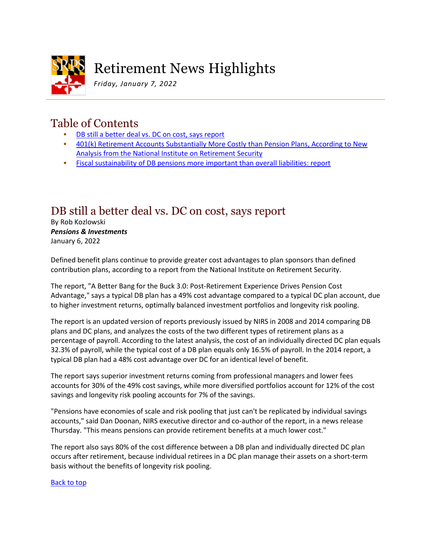

# Retirement News Highlights

*Friday, January 7, 2022*

# Table of Contents

- [DB still a better deal vs. DC on cost, says report](#page-0-0)
- [401\(k\) Retirement Accounts Substantially More Costly than Pension Plans, According](#page-1-0) to New [Analysis from the National Institute on Retirement Security](#page-1-0)
- **[Fiscal sustainability of DB pensions more important than overall liabilities: report](#page-2-0)**

## <span id="page-0-0"></span>DB still a better deal vs. DC on cost, says report

By Rob Kozlowski *Pensions & Investments* January 6, 2022

Defined benefit plans continue to provide greater cost advantages to plan sponsors than defined contribution plans, according to a report from the National Institute on Retirement Security.

The report, "A Better Bang for the Buck 3.0: Post-Retirement Experience Drives Pension Cost Advantage," says a typical DB plan has a 49% cost advantage compared to a typical DC plan account, due to higher investment returns, optimally balanced investment portfolios and longevity risk pooling.

The report is an updated version of reports previously issued by NIRS in 2008 and 2014 comparing DB plans and DC plans, and analyzes the costs of the two different types of retirement plans as a percentage of payroll. According to the latest analysis, the cost of an individually directed DC plan equals 32.3% of payroll, while the typical cost of a DB plan equals only 16.5% of payroll. In the 2014 report, a typical DB plan had a 48% cost advantage over DC for an identical level of benefit.

The report says superior investment returns coming from professional managers and lower fees accounts for 30% of the 49% cost savings, while more diversified portfolios account for 12% of the cost savings and longevity risk pooling accounts for 7% of the savings.

"Pensions have economies of scale and risk pooling that just can't be replicated by individual savings accounts," said Dan Doonan, NIRS executive director and co-author of the report, in a news release Thursday. "This means pensions can provide retirement benefits at a much lower cost."

The report also says 80% of the cost difference between a DB plan and individually directed DC plan occurs after retirement, because individual retirees in a DC plan manage their assets on a short-term basis without the benefits of longevity risk pooling.

### Back to top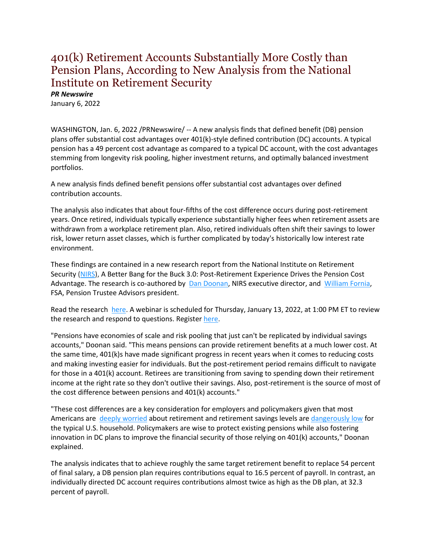### <span id="page-1-0"></span>401(k) Retirement Accounts Substantially More Costly than Pension Plans, According to New Analysis from the National Institute on Retirement Security

*PR Newswire*

January 6, 2022

WASHINGTON, Jan. 6, 2022 /PRNewswire/ -- A new analysis finds that defined benefit (DB) pension plans offer substantial cost advantages over 401(k)-style defined contribution (DC) accounts. A typical pension has a 49 percent cost advantage as compared to a typical DC account, with the cost advantages stemming from longevity risk pooling, higher investment returns, and optimally balanced investment portfolios.

A new analysis finds defined benefit pensions offer substantial cost advantages over defined contribution accounts.

The analysis also indicates that about four-fifths of the cost difference occurs during post-retirement years. Once retired, individuals typically experience substantially higher fees when retirement assets are withdrawn from a workplace retirement plan. Also, retired individuals often shift their savings to lower risk, lower return asset classes, which is further complicated by today's historically low interest rate environment.

These findings are contained in a new research report from the National Institute on Retirement Security [\(NIRS\)](https://c212.net/c/link/?t=0&l=en&o=3405320-1&h=1698585067&u=https%3A%2F%2Fwww.nirsonline.org%2F&a=NIRS), A Better Bang for the Buck 3.0: Post-Retirement Experience Drives the Pension Cost Advantage. The research is co-authored by [Dan Doonan,](https://c212.net/c/link/?t=0&l=en&o=3405320-1&h=1564212577&u=https%3A%2F%2Fwww.nirsonline.org%2Fabout-nirs%2Fstaff%2F&a=Dan+Doonan) NIRS executive director, and [William Fornia,](https://c212.net/c/link/?t=0&l=en&o=3405320-1&h=2595406705&u=http%3A%2F%2Fwww.pensiontrusteeadvisors.com%2Fabout.html&a=William+Fornia) FSA, Pension Trustee Advisors president.

Read the research [here.](https://c212.net/c/link/?t=0&l=en&o=3405320-1&h=1180945299&u=https%3A%2F%2Fwww.nirsonline.org%2Freports%2Fbetterbang3%2F&a=here) A webinar is scheduled for Thursday, January 13, 2022, at 1:00 PM ET to review the research and respond to questions. Registe[r here.](https://c212.net/c/link/?t=0&l=en&o=3405320-1&h=789905347&u=https%3A%2F%2Fattendee.gotowebinar.com%2Fregister%2F2691768711718522894&a=here)

"Pensions have economies of scale and risk pooling that just can't be replicated by individual savings accounts," Doonan said. "This means pensions can provide retirement benefits at a much lower cost. At the same time, 401(k)s have made significant progress in recent years when it comes to reducing costs and making investing easier for individuals. But the post-retirement period remains difficult to navigate for those in a 401(k) account. Retirees are transitioning from saving to spending down their retirement income at the right rate so they don't outlive their savings. Also, post-retirement is the source of most of the cost difference between pensions and 401(k) accounts."

"These cost differences are a key consideration for employers and policymakers given that most Americans are [deeply worried](https://c212.net/c/link/?t=0&l=en&o=3405320-1&h=920453709&u=https%3A%2F%2Fwww.nirsonline.org%2Freports%2Fretirementinsecurity2021%2F&a=deeply+worried) about retirement and retirement savings levels are [dangerously low](https://c212.net/c/link/?t=0&l=en&o=3405320-1&h=544349971&u=https%3A%2F%2Fwww.nirsonline.org%2Freports%2Fgrowingburden%2F&a=dangerously+low) for the typical U.S. household. Policymakers are wise to protect existing pensions while also fostering innovation in DC plans to improve the financial security of those relying on 401(k) accounts," Doonan explained.

The analysis indicates that to achieve roughly the same target retirement benefit to replace 54 percent of final salary, a DB pension plan requires contributions equal to 16.5 percent of payroll. In contrast, an individually directed DC account requires contributions almost twice as high as the DB plan, at 32.3 percent of payroll.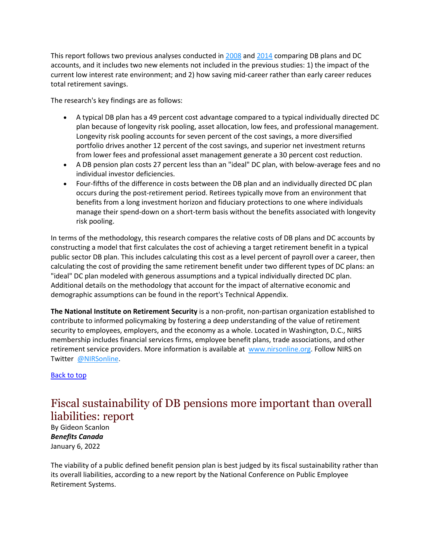This report follows two previous analyses conducted in [2008](https://c212.net/c/link/?t=0&l=en&o=3405320-1&h=3004026916&u=https%3A%2F%2Fwww.nirsonline.org%2Freports%2Fa-better-bang-for-the-buck-the-economic-efficiencies-of-defined-benefit-pension-plans%2F&a=2008) and [2014](https://c212.net/c/link/?t=0&l=en&o=3405320-1&h=1497818858&u=https%3A%2F%2Fwww.nirsonline.org%2Freports%2Fstill-a-better-bang-for-the-buck-an-update-on-the-economic-efficiencies-of-defined-benefit-pensions%2F&a=2014) comparing DB plans and DC accounts, and it includes two new elements not included in the previous studies: 1) the impact of the current low interest rate environment; and 2) how saving mid-career rather than early career reduces total retirement savings.

The research's key findings are as follows:

- A typical DB plan has a 49 percent cost advantage compared to a typical individually directed DC plan because of longevity risk pooling, asset allocation, low fees, and professional management. Longevity risk pooling accounts for seven percent of the cost savings, a more diversified portfolio drives another 12 percent of the cost savings, and superior net investment returns from lower fees and professional asset management generate a 30 percent cost reduction.
- A DB pension plan costs 27 percent less than an "ideal" DC plan, with below-average fees and no individual investor deficiencies.
- Four-fifths of the difference in costs between the DB plan and an individually directed DC plan occurs during the post-retirement period. Retirees typically move from an environment that benefits from a long investment horizon and fiduciary protections to one where individuals manage their spend-down on a short-term basis without the benefits associated with longevity risk pooling.

In terms of the methodology, this research compares the relative costs of DB plans and DC accounts by constructing a model that first calculates the cost of achieving a target retirement benefit in a typical public sector DB plan. This includes calculating this cost as a level percent of payroll over a career, then calculating the cost of providing the same retirement benefit under two different types of DC plans: an "ideal" DC plan modeled with generous assumptions and a typical individually directed DC plan. Additional details on the methodology that account for the impact of alternative economic and demographic assumptions can be found in the report's Technical Appendix.

**The National Institute on Retirement Security** is a non-profit, non-partisan organization established to contribute to informed policymaking by fostering a deep understanding of the value of retirement security to employees, employers, and the economy as a whole. Located in Washington, D.C., NIRS membership includes financial services firms, employee benefit plans, trade associations, and other retirement service providers. More information is available at [www.nirsonline.org.](https://c212.net/c/link/?t=0&l=en&o=3405320-1&h=458174196&u=https%3A%2F%2Fwww.nirsonline.org%2F&a=www.nirsonline.org) Follow NIRS on Twitter [@NIRSonline.](https://c212.net/c/link/?t=0&l=en&o=3405320-1&h=1293822777&u=https%3A%2F%2Ftwitter.com%2FNIRSonline&a=%40NIRSonline)

#### Back to top

### <span id="page-2-0"></span>Fiscal sustainability of DB pensions more important than overall liabilities: report

By Gideon Scanlon *Benefits Canada* January 6, 2022

The viability of a public defined benefit pension plan is best judged by its fiscal sustainability rather than its overall liabilities, according to a new report by the National Conference on Public Employee Retirement Systems.